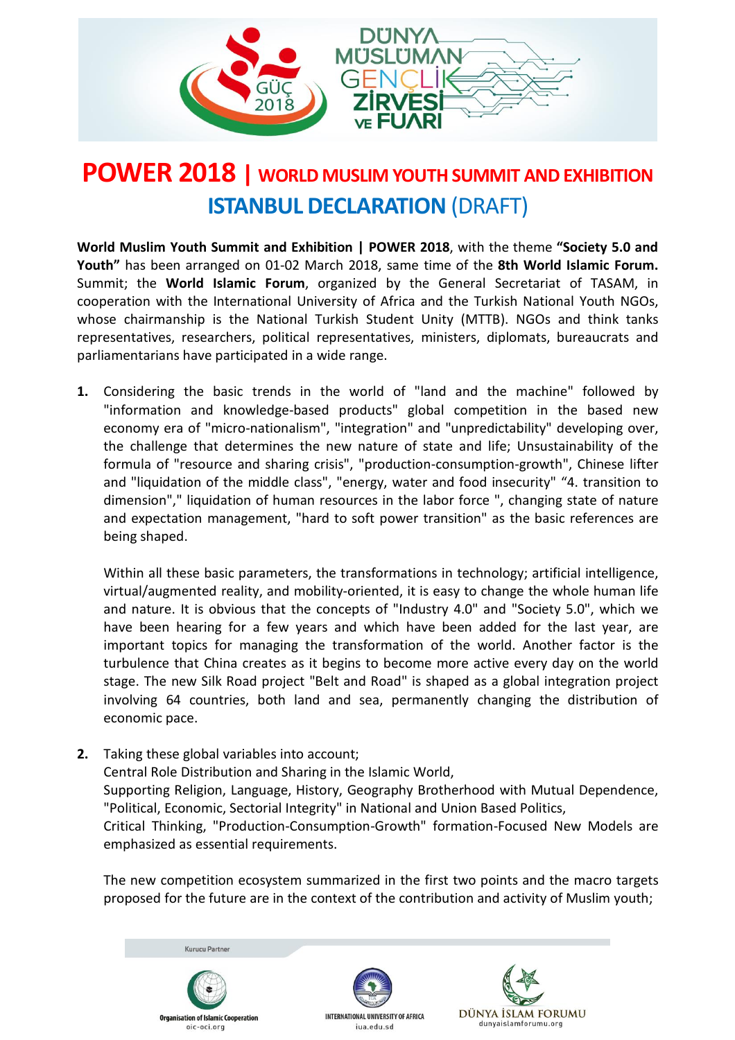

## **POWER 2018 | WORLD MUSLIM YOUTHSUMMIT ANDEXHIBITION ISTANBUL DECLARATION** (DRAFT)

**World Muslim Youth Summit and Exhibition | POWER 2018**, with the theme **"Society 5.0 and Youth"** has been arranged on 01-02 March 2018, same time of the **8th World Islamic Forum.** Summit; the **World Islamic Forum**, organized by the General Secretariat of TASAM, in cooperation with the International University of Africa and the Turkish National Youth NGOs, whose chairmanship is the National Turkish Student Unity (MTTB). NGOs and think tanks representatives, researchers, political representatives, ministers, diplomats, bureaucrats and parliamentarians have participated in a wide range.

**1.** Considering the basic trends in the world of "land and the machine" followed by "information and knowledge-based products" global competition in the based new economy era of "micro-nationalism", "integration" and "unpredictability" developing over, the challenge that determines the new nature of state and life; Unsustainability of the formula of "resource and sharing crisis", "production-consumption-growth", Chinese lifter and "liquidation of the middle class", "energy, water and food insecurity" "4. transition to dimension"," liquidation of human resources in the labor force ", changing state of nature and expectation management, "hard to soft power transition" as the basic references are being shaped.

Within all these basic parameters, the transformations in technology; artificial intelligence, virtual/augmented reality, and mobility-oriented, it is easy to change the whole human life and nature. It is obvious that the concepts of "Industry 4.0" and "Society 5.0", which we have been hearing for a few years and which have been added for the last year, are important topics for managing the transformation of the world. Another factor is the turbulence that China creates as it begins to become more active every day on the world stage. The new Silk Road project "Belt and Road" is shaped as a global integration project involving 64 countries, both land and sea, permanently changing the distribution of economic pace.

**2.** Taking these global variables into account; Central Role Distribution and Sharing in the Islamic World, Supporting Religion, Language, History, Geography Brotherhood with Mutual Dependence, "Political, Economic, Sectorial Integrity" in National and Union Based Politics, Critical Thinking, "Production-Consumption-Growth" formation-Focused New Models are emphasized as essential requirements.

The new competition ecosystem summarized in the first two points and the macro targets proposed for the future are in the context of the contribution and activity of Muslim youth;

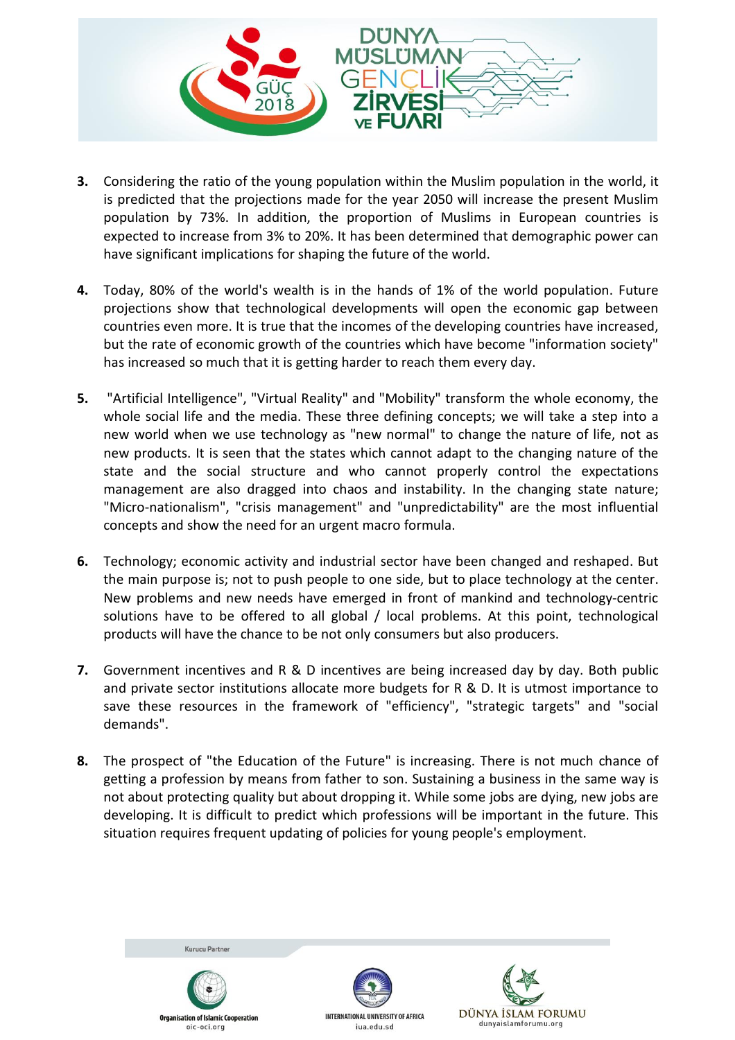

- **3.** Considering the ratio of the young population within the Muslim population in the world, it is predicted that the projections made for the year 2050 will increase the present Muslim population by 73%. In addition, the proportion of Muslims in European countries is expected to increase from 3% to 20%. It has been determined that demographic power can have significant implications for shaping the future of the world.
- **4.** Today, 80% of the world's wealth is in the hands of 1% of the world population. Future projections show that technological developments will open the economic gap between countries even more. It is true that the incomes of the developing countries have increased, but the rate of economic growth of the countries which have become "information society" has increased so much that it is getting harder to reach them every day.
- **5.** "Artificial Intelligence", "Virtual Reality" and "Mobility" transform the whole economy, the whole social life and the media. These three defining concepts; we will take a step into a new world when we use technology as "new normal" to change the nature of life, not as new products. It is seen that the states which cannot adapt to the changing nature of the state and the social structure and who cannot properly control the expectations management are also dragged into chaos and instability. In the changing state nature; "Micro-nationalism", "crisis management" and "unpredictability" are the most influential concepts and show the need for an urgent macro formula.
- **6.** Technology; economic activity and industrial sector have been changed and reshaped. But the main purpose is; not to push people to one side, but to place technology at the center. New problems and new needs have emerged in front of mankind and technology-centric solutions have to be offered to all global / local problems. At this point, technological products will have the chance to be not only consumers but also producers.
- **7.** Government incentives and R & D incentives are being increased day by day. Both public and private sector institutions allocate more budgets for R & D. It is utmost importance to save these resources in the framework of "efficiency", "strategic targets" and "social demands".
- **8.** The prospect of "the Education of the Future" is increasing. There is not much chance of getting a profession by means from father to son. Sustaining a business in the same way is not about protecting quality but about dropping it. While some jobs are dying, new jobs are developing. It is difficult to predict which professions will be important in the future. This situation requires frequent updating of policies for young people's employment.